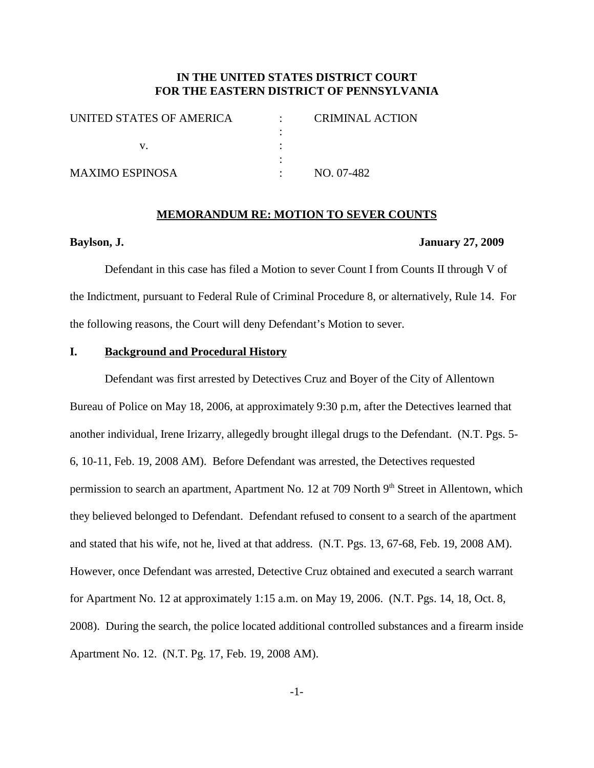# **IN THE UNITED STATES DISTRICT COURT FOR THE EASTERN DISTRICT OF PENNSYLVANIA**

| UNITED STATES OF AMERICA | <b>CRIMINAL ACTION</b> |
|--------------------------|------------------------|
|                          |                        |
|                          |                        |
|                          |                        |
| <b>MAXIMO ESPINOSA</b>   | NO. 07-482             |
|                          |                        |

#### **MEMORANDUM RE: MOTION TO SEVER COUNTS**

#### **Baylson, J. January 27, 2009**

Defendant in this case has filed a Motion to sever Count I from Counts II through V of the Indictment, pursuant to Federal Rule of Criminal Procedure 8, or alternatively, Rule 14. For the following reasons, the Court will deny Defendant's Motion to sever.

## **I. Background and Procedural History**

Defendant was first arrested by Detectives Cruz and Boyer of the City of Allentown Bureau of Police on May 18, 2006, at approximately 9:30 p.m, after the Detectives learned that another individual, Irene Irizarry, allegedly brought illegal drugs to the Defendant. (N.T. Pgs. 5- 6, 10-11, Feb. 19, 2008 AM). Before Defendant was arrested, the Detectives requested permission to search an apartment, Apartment No. 12 at 709 North 9<sup>th</sup> Street in Allentown, which they believed belonged to Defendant. Defendant refused to consent to a search of the apartment and stated that his wife, not he, lived at that address. (N.T. Pgs. 13, 67-68, Feb. 19, 2008 AM). However, once Defendant was arrested, Detective Cruz obtained and executed a search warrant for Apartment No. 12 at approximately 1:15 a.m. on May 19, 2006. (N.T. Pgs. 14, 18, Oct. 8, 2008). During the search, the police located additional controlled substances and a firearm inside Apartment No. 12. (N.T. Pg. 17, Feb. 19, 2008 AM).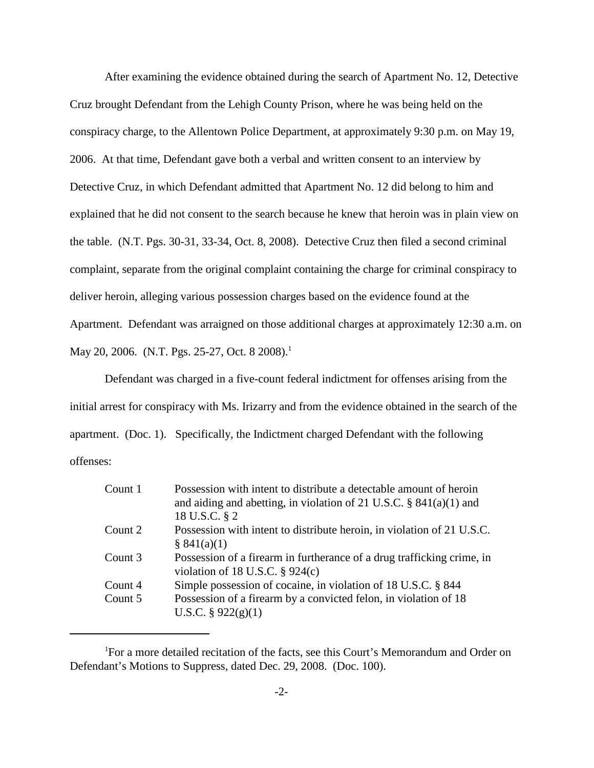After examining the evidence obtained during the search of Apartment No. 12, Detective Cruz brought Defendant from the Lehigh County Prison, where he was being held on the conspiracy charge, to the Allentown Police Department, at approximately 9:30 p.m. on May 19, 2006. At that time, Defendant gave both a verbal and written consent to an interview by Detective Cruz, in which Defendant admitted that Apartment No. 12 did belong to him and explained that he did not consent to the search because he knew that heroin was in plain view on the table. (N.T. Pgs. 30-31, 33-34, Oct. 8, 2008). Detective Cruz then filed a second criminal complaint, separate from the original complaint containing the charge for criminal conspiracy to deliver heroin, alleging various possession charges based on the evidence found at the Apartment. Defendant was arraigned on those additional charges at approximately 12:30 a.m. on May 20, 2006. (N.T. Pgs. 25-27, Oct. 8 2008).<sup>1</sup>

Defendant was charged in a five-count federal indictment for offenses arising from the initial arrest for conspiracy with Ms. Irizarry and from the evidence obtained in the search of the apartment. (Doc. 1). Specifically, the Indictment charged Defendant with the following offenses:

| Count 1 | Possession with intent to distribute a detectable amount of heroin<br>and aiding and abetting, in violation of 21 U.S.C. $\S$ 841(a)(1) and<br>18 U.S.C. § 2 |
|---------|--------------------------------------------------------------------------------------------------------------------------------------------------------------|
| Count 2 | Possession with intent to distribute heroin, in violation of 21 U.S.C.<br>\$841(a)(1)                                                                        |
| Count 3 | Possession of a firearm in furtherance of a drug trafficking crime, in<br>violation of 18 U.S.C. $\S$ 924(c)                                                 |
| Count 4 | Simple possession of cocaine, in violation of 18 U.S.C. § 844                                                                                                |
| Count 5 | Possession of a firearm by a convicted felon, in violation of 18<br>U.S.C. $\S$ 922(g)(1)                                                                    |

<sup>&</sup>lt;sup>1</sup>For a more detailed recitation of the facts, see this Court's Memorandum and Order on Defendant's Motions to Suppress, dated Dec. 29, 2008. (Doc. 100).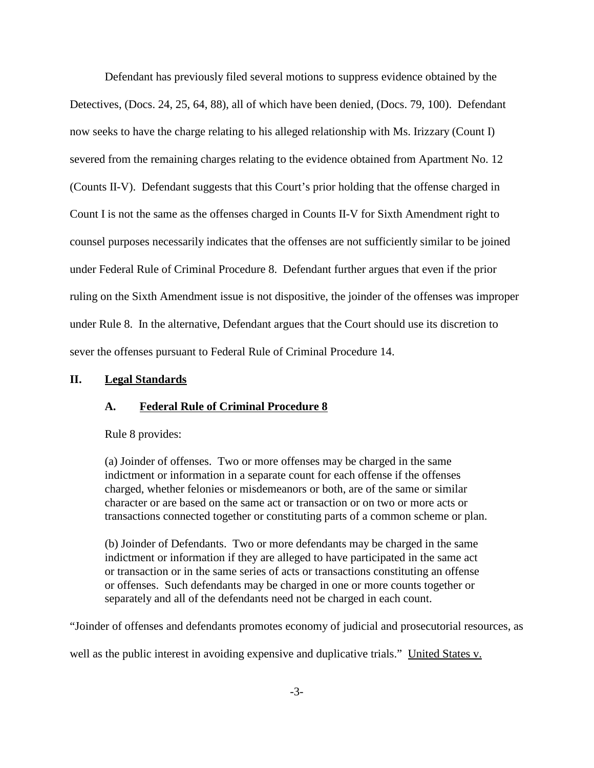Defendant has previously filed several motions to suppress evidence obtained by the Detectives, (Docs. 24, 25, 64, 88), all of which have been denied, (Docs. 79, 100). Defendant now seeks to have the charge relating to his alleged relationship with Ms. Irizzary (Count I) severed from the remaining charges relating to the evidence obtained from Apartment No. 12 (Counts II-V). Defendant suggests that this Court's prior holding that the offense charged in Count I is not the same as the offenses charged in Counts II-V for Sixth Amendment right to counsel purposes necessarily indicates that the offenses are not sufficiently similar to be joined under Federal Rule of Criminal Procedure 8. Defendant further argues that even if the prior ruling on the Sixth Amendment issue is not dispositive, the joinder of the offenses was improper under Rule 8. In the alternative, Defendant argues that the Court should use its discretion to sever the offenses pursuant to Federal Rule of Criminal Procedure 14.

#### **II. Legal Standards**

### **A. Federal Rule of Criminal Procedure 8**

Rule 8 provides:

(a) Joinder of offenses. Two or more offenses may be charged in the same indictment or information in a separate count for each offense if the offenses charged, whether felonies or misdemeanors or both, are of the same or similar character or are based on the same act or transaction or on two or more acts or transactions connected together or constituting parts of a common scheme or plan.

(b) Joinder of Defendants. Two or more defendants may be charged in the same indictment or information if they are alleged to have participated in the same act or transaction or in the same series of acts or transactions constituting an offense or offenses. Such defendants may be charged in one or more counts together or separately and all of the defendants need not be charged in each count.

"Joinder of offenses and defendants promotes economy of judicial and prosecutorial resources, as

well as the public interest in avoiding expensive and duplicative trials." United States v.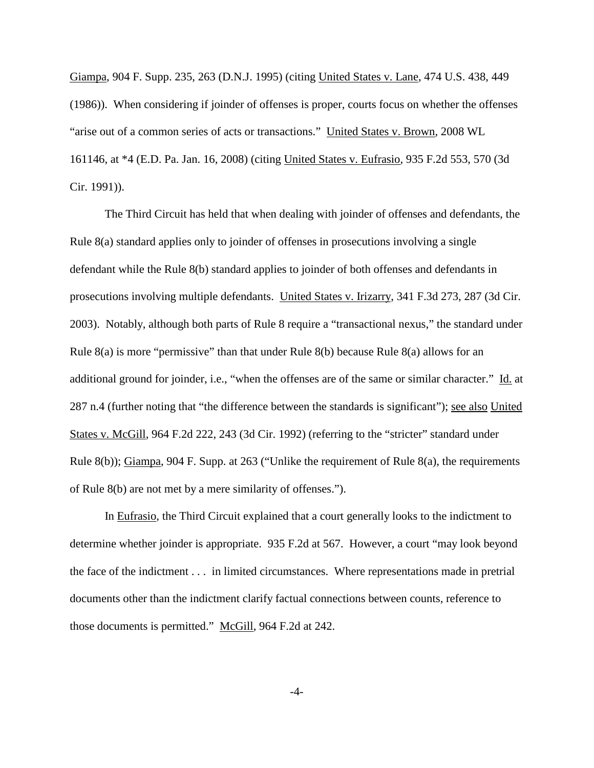Giampa, 904 F. Supp. 235, 263 (D.N.J. 1995) (citing United States v. Lane, 474 U.S. 438, 449 (1986)). When considering if joinder of offenses is proper, courts focus on whether the offenses "arise out of a common series of acts or transactions." United States v. Brown, 2008 WL 161146, at \*4 (E.D. Pa. Jan. 16, 2008) (citing United States v. Eufrasio, 935 F.2d 553, 570 (3d Cir. 1991)).

The Third Circuit has held that when dealing with joinder of offenses and defendants, the Rule 8(a) standard applies only to joinder of offenses in prosecutions involving a single defendant while the Rule 8(b) standard applies to joinder of both offenses and defendants in prosecutions involving multiple defendants. United States v. Irizarry, 341 F.3d 273, 287 (3d Cir. 2003). Notably, although both parts of Rule 8 require a "transactional nexus," the standard under Rule 8(a) is more "permissive" than that under Rule 8(b) because Rule 8(a) allows for an additional ground for joinder, i.e., "when the offenses are of the same or similar character." Id. at 287 n.4 (further noting that "the difference between the standards is significant"); see also United States v. McGill, 964 F.2d 222, 243 (3d Cir. 1992) (referring to the "stricter" standard under Rule 8(b)); Giampa, 904 F. Supp. at 263 ("Unlike the requirement of Rule 8(a), the requirements of Rule 8(b) are not met by a mere similarity of offenses.").

In Eufrasio, the Third Circuit explained that a court generally looks to the indictment to determine whether joinder is appropriate. 935 F.2d at 567. However, a court "may look beyond the face of the indictment . . . in limited circumstances. Where representations made in pretrial documents other than the indictment clarify factual connections between counts, reference to those documents is permitted." McGill, 964 F.2d at 242.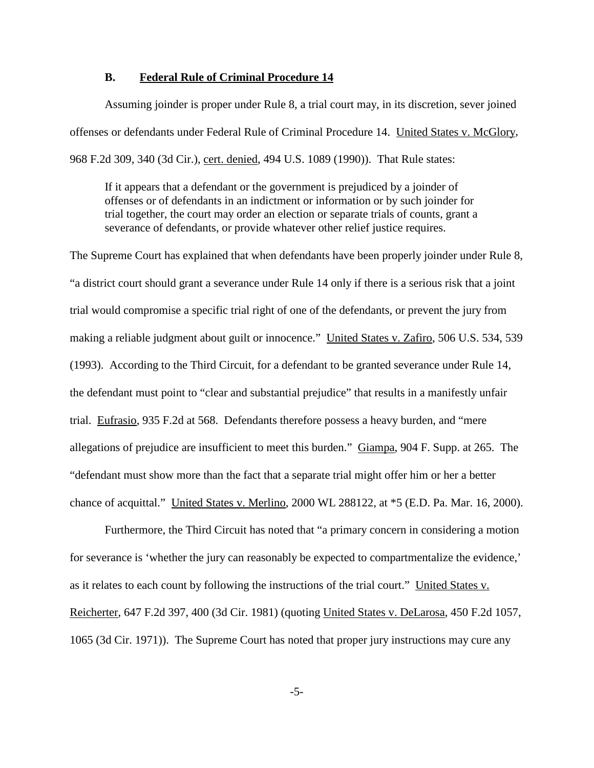#### **B. Federal Rule of Criminal Procedure 14**

Assuming joinder is proper under Rule 8, a trial court may, in its discretion, sever joined offenses or defendants under Federal Rule of Criminal Procedure 14. United States v. McGlory, 968 F.2d 309, 340 (3d Cir.), cert. denied, 494 U.S. 1089 (1990)). That Rule states:

If it appears that a defendant or the government is prejudiced by a joinder of offenses or of defendants in an indictment or information or by such joinder for trial together, the court may order an election or separate trials of counts, grant a severance of defendants, or provide whatever other relief justice requires.

The Supreme Court has explained that when defendants have been properly joinder under Rule 8, "a district court should grant a severance under Rule 14 only if there is a serious risk that a joint trial would compromise a specific trial right of one of the defendants, or prevent the jury from making a reliable judgment about guilt or innocence." United States v. Zafiro, 506 U.S. 534, 539 (1993). According to the Third Circuit, for a defendant to be granted severance under Rule 14, the defendant must point to "clear and substantial prejudice" that results in a manifestly unfair trial. Eufrasio, 935 F.2d at 568. Defendants therefore possess a heavy burden, and "mere allegations of prejudice are insufficient to meet this burden." Giampa, 904 F. Supp. at 265. The "defendant must show more than the fact that a separate trial might offer him or her a better chance of acquittal." United States v. Merlino, 2000 WL 288122, at \*5 (E.D. Pa. Mar. 16, 2000).

Furthermore, the Third Circuit has noted that "a primary concern in considering a motion for severance is 'whether the jury can reasonably be expected to compartmentalize the evidence,' as it relates to each count by following the instructions of the trial court." United States v. Reicherter, 647 F.2d 397, 400 (3d Cir. 1981) (quoting United States v. DeLarosa, 450 F.2d 1057, 1065 (3d Cir. 1971)). The Supreme Court has noted that proper jury instructions may cure any

-5-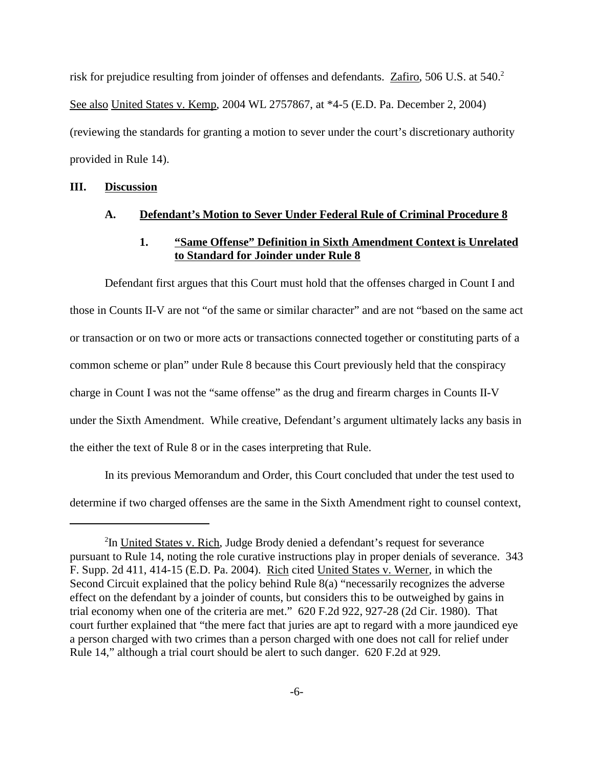risk for prejudice resulting from joinder of offenses and defendants. Zafiro, 506 U.S. at 540.<sup>2</sup> See also United States v. Kemp, 2004 WL 2757867, at \*4-5 (E.D. Pa. December 2, 2004) (reviewing the standards for granting a motion to sever under the court's discretionary authority provided in Rule 14).

#### **III. Discussion**

#### **A. Defendant's Motion to Sever Under Federal Rule of Criminal Procedure 8**

# **1. "Same Offense" Definition in Sixth Amendment Context is Unrelated to Standard for Joinder under Rule 8**

Defendant first argues that this Court must hold that the offenses charged in Count I and those in Counts II-V are not "of the same or similar character" and are not "based on the same act or transaction or on two or more acts or transactions connected together or constituting parts of a common scheme or plan" under Rule 8 because this Court previously held that the conspiracy charge in Count I was not the "same offense" as the drug and firearm charges in Counts II-V under the Sixth Amendment. While creative, Defendant's argument ultimately lacks any basis in the either the text of Rule 8 or in the cases interpreting that Rule.

In its previous Memorandum and Order, this Court concluded that under the test used to determine if two charged offenses are the same in the Sixth Amendment right to counsel context,

<sup>&</sup>lt;sup>2</sup>In United States v. Rich, Judge Brody denied a defendant's request for severance pursuant to Rule 14, noting the role curative instructions play in proper denials of severance. 343 F. Supp. 2d 411, 414-15 (E.D. Pa. 2004). Rich cited United States v. Werner, in which the Second Circuit explained that the policy behind Rule 8(a) "necessarily recognizes the adverse effect on the defendant by a joinder of counts, but considers this to be outweighed by gains in trial economy when one of the criteria are met." 620 F.2d 922, 927-28 (2d Cir. 1980). That court further explained that "the mere fact that juries are apt to regard with a more jaundiced eye a person charged with two crimes than a person charged with one does not call for relief under Rule 14," although a trial court should be alert to such danger. 620 F.2d at 929.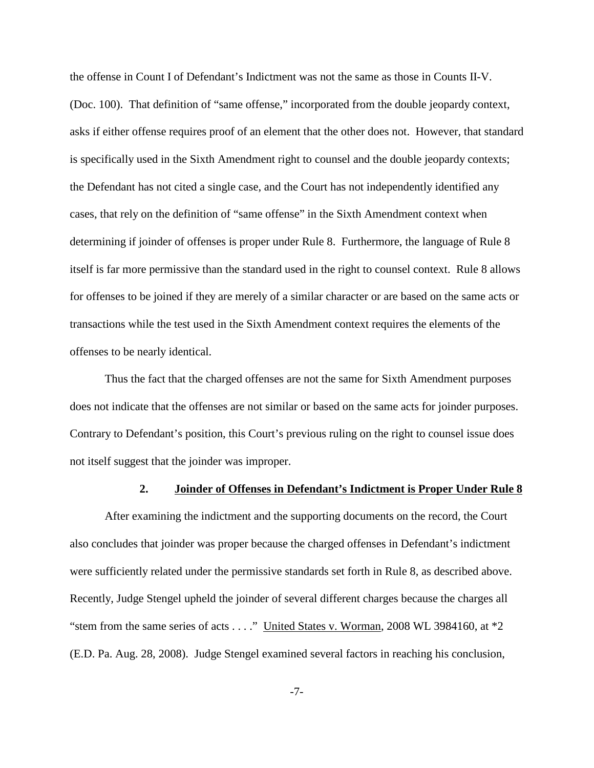the offense in Count I of Defendant's Indictment was not the same as those in Counts II-V. (Doc. 100). That definition of "same offense," incorporated from the double jeopardy context, asks if either offense requires proof of an element that the other does not. However, that standard is specifically used in the Sixth Amendment right to counsel and the double jeopardy contexts; the Defendant has not cited a single case, and the Court has not independently identified any cases, that rely on the definition of "same offense" in the Sixth Amendment context when determining if joinder of offenses is proper under Rule 8. Furthermore, the language of Rule 8 itself is far more permissive than the standard used in the right to counsel context. Rule 8 allows for offenses to be joined if they are merely of a similar character or are based on the same acts or transactions while the test used in the Sixth Amendment context requires the elements of the offenses to be nearly identical.

Thus the fact that the charged offenses are not the same for Sixth Amendment purposes does not indicate that the offenses are not similar or based on the same acts for joinder purposes. Contrary to Defendant's position, this Court's previous ruling on the right to counsel issue does not itself suggest that the joinder was improper.

#### **2. Joinder of Offenses in Defendant's Indictment is Proper Under Rule 8**

After examining the indictment and the supporting documents on the record, the Court also concludes that joinder was proper because the charged offenses in Defendant's indictment were sufficiently related under the permissive standards set forth in Rule 8, as described above. Recently, Judge Stengel upheld the joinder of several different charges because the charges all "stem from the same series of acts . . . ." United States v. Worman, 2008 WL 3984160, at \*2 (E.D. Pa. Aug. 28, 2008). Judge Stengel examined several factors in reaching his conclusion,

-7-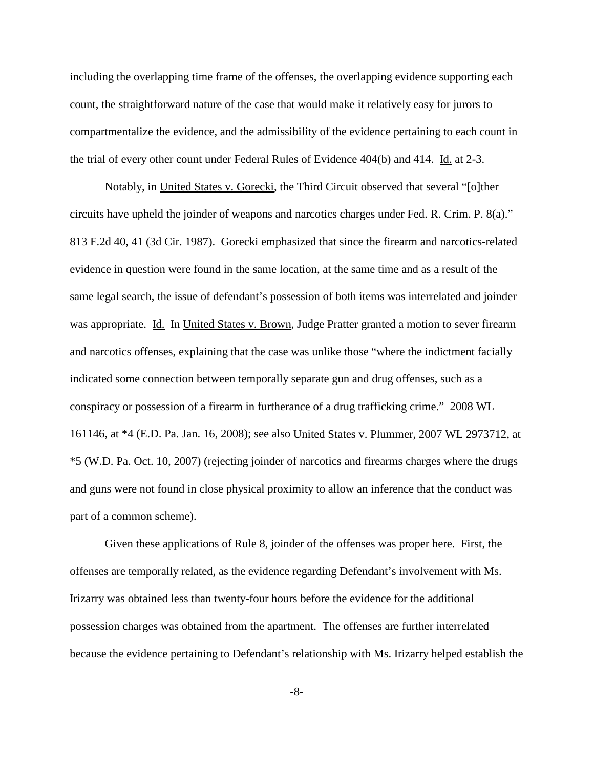including the overlapping time frame of the offenses, the overlapping evidence supporting each count, the straightforward nature of the case that would make it relatively easy for jurors to compartmentalize the evidence, and the admissibility of the evidence pertaining to each count in the trial of every other count under Federal Rules of Evidence 404(b) and 414. Id. at 2-3.

Notably, in United States v. Gorecki, the Third Circuit observed that several "[o]ther circuits have upheld the joinder of weapons and narcotics charges under Fed. R. Crim. P. 8(a)." 813 F.2d 40, 41 (3d Cir. 1987). Gorecki emphasized that since the firearm and narcotics-related evidence in question were found in the same location, at the same time and as a result of the same legal search, the issue of defendant's possession of both items was interrelated and joinder was appropriate. Id. In United States v. Brown, Judge Pratter granted a motion to sever firearm and narcotics offenses, explaining that the case was unlike those "where the indictment facially indicated some connection between temporally separate gun and drug offenses, such as a conspiracy or possession of a firearm in furtherance of a drug trafficking crime." 2008 WL 161146, at \*4 (E.D. Pa. Jan. 16, 2008); see also United States v. Plummer, 2007 WL 2973712, at \*5 (W.D. Pa. Oct. 10, 2007) (rejecting joinder of narcotics and firearms charges where the drugs and guns were not found in close physical proximity to allow an inference that the conduct was part of a common scheme).

Given these applications of Rule 8, joinder of the offenses was proper here. First, the offenses are temporally related, as the evidence regarding Defendant's involvement with Ms. Irizarry was obtained less than twenty-four hours before the evidence for the additional possession charges was obtained from the apartment. The offenses are further interrelated because the evidence pertaining to Defendant's relationship with Ms. Irizarry helped establish the

-8-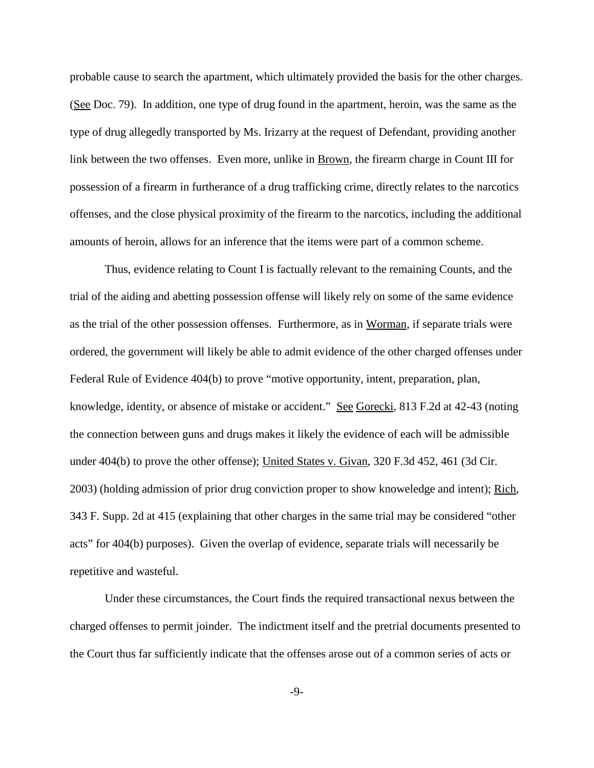probable cause to search the apartment, which ultimately provided the basis for the other charges. (See Doc. 79). In addition, one type of drug found in the apartment, heroin, was the same as the type of drug allegedly transported by Ms. Irizarry at the request of Defendant, providing another link between the two offenses. Even more, unlike in Brown, the firearm charge in Count III for possession of a firearm in furtherance of a drug trafficking crime, directly relates to the narcotics offenses, and the close physical proximity of the firearm to the narcotics, including the additional amounts of heroin, allows for an inference that the items were part of a common scheme.

Thus, evidence relating to Count I is factually relevant to the remaining Counts, and the trial of the aiding and abetting possession offense will likely rely on some of the same evidence as the trial of the other possession offenses. Furthermore, as in Worman, if separate trials were ordered, the government will likely be able to admit evidence of the other charged offenses under Federal Rule of Evidence 404(b) to prove "motive opportunity, intent, preparation, plan, knowledge, identity, or absence of mistake or accident." See Gorecki, 813 F.2d at 42-43 (noting the connection between guns and drugs makes it likely the evidence of each will be admissible under 404(b) to prove the other offense); United States v. Givan, 320 F.3d 452, 461 (3d Cir. 2003) (holding admission of prior drug conviction proper to show knoweledge and intent); Rich, 343 F. Supp. 2d at 415 (explaining that other charges in the same trial may be considered "other acts" for 404(b) purposes). Given the overlap of evidence, separate trials will necessarily be repetitive and wasteful.

Under these circumstances, the Court finds the required transactional nexus between the charged offenses to permit joinder. The indictment itself and the pretrial documents presented to the Court thus far sufficiently indicate that the offenses arose out of a common series of acts or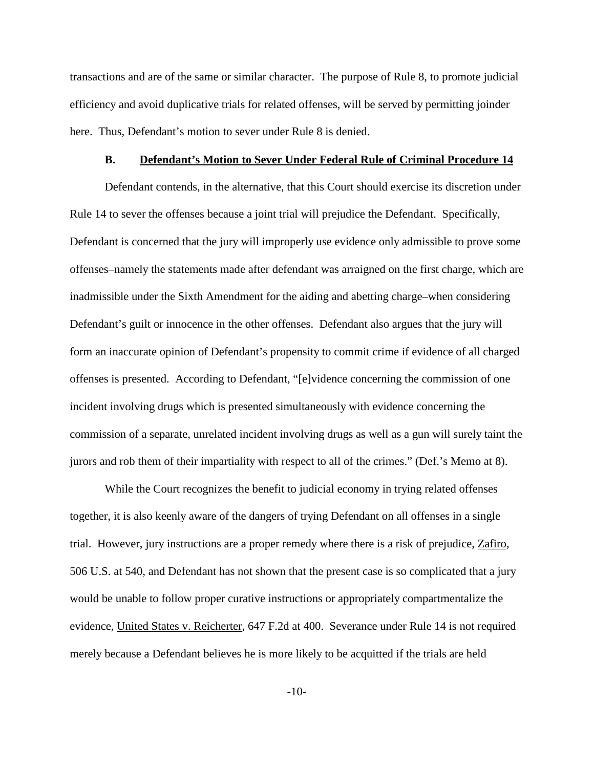transactions and are of the same or similar character. The purpose of Rule 8, to promote judicial efficiency and avoid duplicative trials for related offenses, will be served by permitting joinder here. Thus, Defendant's motion to sever under Rule 8 is denied.

#### **B. Defendant's Motion to Sever Under Federal Rule of Criminal Procedure 14**

Defendant contends, in the alternative, that this Court should exercise its discretion under Rule 14 to sever the offenses because a joint trial will prejudice the Defendant. Specifically, Defendant is concerned that the jury will improperly use evidence only admissible to prove some offenses–namely the statements made after defendant was arraigned on the first charge, which are inadmissible under the Sixth Amendment for the aiding and abetting charge–when considering Defendant's guilt or innocence in the other offenses. Defendant also argues that the jury will form an inaccurate opinion of Defendant's propensity to commit crime if evidence of all charged offenses is presented. According to Defendant, "[e]vidence concerning the commission of one incident involving drugs which is presented simultaneously with evidence concerning the commission of a separate, unrelated incident involving drugs as well as a gun will surely taint the jurors and rob them of their impartiality with respect to all of the crimes." (Def.'s Memo at 8).

While the Court recognizes the benefit to judicial economy in trying related offenses together, it is also keenly aware of the dangers of trying Defendant on all offenses in a single trial. However, jury instructions are a proper remedy where there is a risk of prejudice, Zafiro, 506 U.S. at 540, and Defendant has not shown that the present case is so complicated that a jury would be unable to follow proper curative instructions or appropriately compartmentalize the evidence, United States v. Reicherter, 647 F.2d at 400. Severance under Rule 14 is not required merely because a Defendant believes he is more likely to be acquitted if the trials are held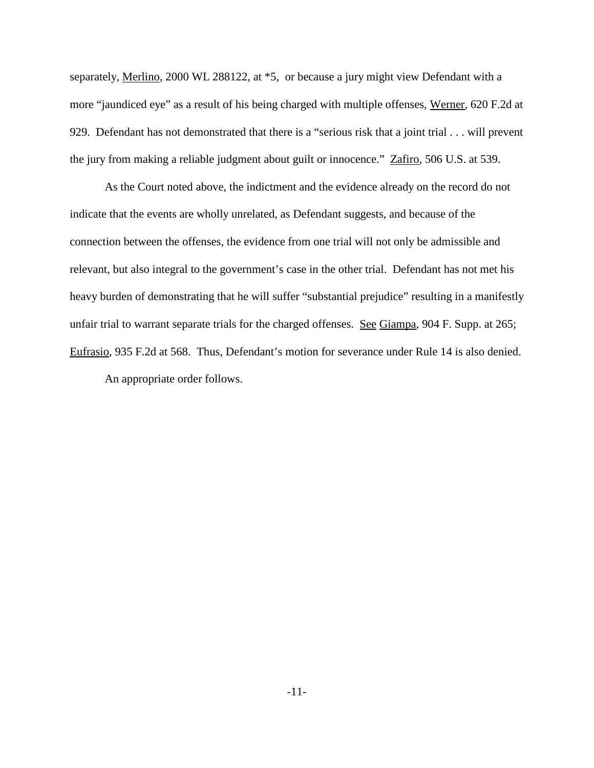separately, Merlino, 2000 WL 288122, at  $*5$ , or because a jury might view Defendant with a more "jaundiced eye" as a result of his being charged with multiple offenses, Werner, 620 F.2d at 929. Defendant has not demonstrated that there is a "serious risk that a joint trial . . . will prevent the jury from making a reliable judgment about guilt or innocence." Zafiro, 506 U.S. at 539.

As the Court noted above, the indictment and the evidence already on the record do not indicate that the events are wholly unrelated, as Defendant suggests, and because of the connection between the offenses, the evidence from one trial will not only be admissible and relevant, but also integral to the government's case in the other trial. Defendant has not met his heavy burden of demonstrating that he will suffer "substantial prejudice" resulting in a manifestly unfair trial to warrant separate trials for the charged offenses. See Giampa, 904 F. Supp. at 265; Eufrasio, 935 F.2d at 568. Thus, Defendant's motion for severance under Rule 14 is also denied. An appropriate order follows.